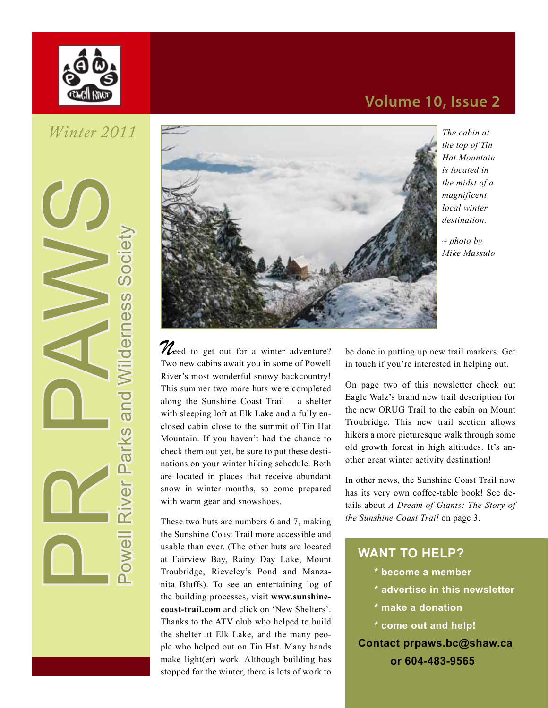

*Winter 2011*

owell River Parks and Wilderness Society



*The cabin at the top of Tin Hat Mountain is located in the midst of a magnificent local winter destination.*

*~ photo by Mike Massulo*

*M*eed to get out for a winter adventure? Two new cabins await you in some of Powell River's most wonderful snowy backcountry! This summer two more huts were completed along the Sunshine Coast Trail – a shelter with sleeping loft at Elk Lake and a fully enclosed cabin close to the summit of Tin Hat Mountain. If you haven't had the chance to check them out yet, be sure to put these destinations on your winter hiking schedule. Both are located in places that receive abundant snow in winter months, so come prepared with warm gear and snowshoes.

These two huts are numbers 6 and 7, making the Sunshine Coast Trail more accessible and usable than ever. (The other huts are located at Fairview Bay, Rainy Day Lake, Mount Troubridge, Rieveley's Pond and Manzanita Bluffs). To see an entertaining log of the building processes, visit **www.sunshinecoast-trail.com** and click on 'New Shelters'. Thanks to the ATV club who helped to build the shelter at Elk Lake, and the many people who helped out on Tin Hat. Many hands make light(er) work. Although building has stopped for the winter, there is lots of work to

be done in putting up new trail markers. Get in touch if you're interested in helping out.

On page two of this newsletter check out Eagle Walz's brand new trail description for the new ORUG Trail to the cabin on Mount Troubridge. This new trail section allows hikers a more picturesque walk through some old growth forest in high altitudes. It's another great winter activity destination!

In other news, the Sunshine Coast Trail now has its very own coffee-table book! See details about *A Dream of Giants: The Story of the Sunshine Coast Trail* on page 3.

### **WANT TO HELP?**

- **\* become a member**
- **\* advertise in this newsletter**
- **\* make a donation**
- **\* come out and help!**

**Contact prpaws.bc@shaw.ca**

**or 604-483-9565**

# **Volume 10, Issue 2**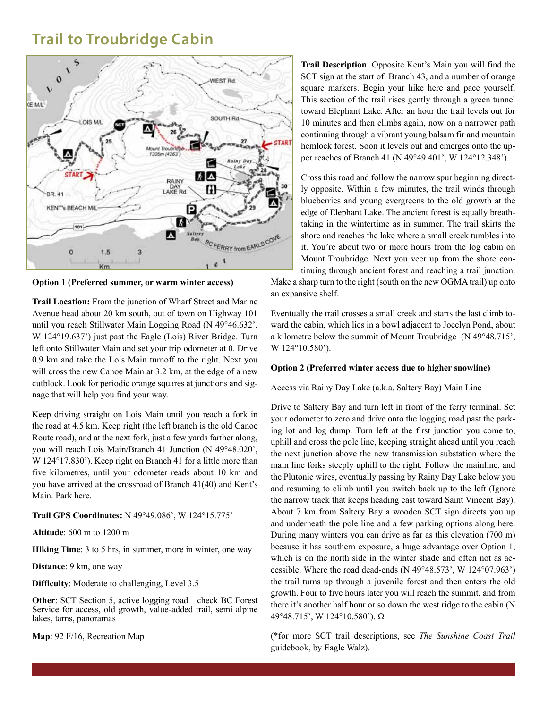## **Trail to Troubridge Cabin**



**Option 1 (Preferred summer, or warm winter access)** 

**Trail Location:** From the junction of Wharf Street and Marine Avenue head about 20 km south, out of town on Highway 101 until you reach Stillwater Main Logging Road (N 49°46.632', W 124°19.637') just past the Eagle (Lois) River Bridge. Turn left onto Stillwater Main and set your trip odometer at 0. Drive 0.9 km and take the Lois Main turnoff to the right. Next you will cross the new Canoe Main at 3.2 km, at the edge of a new cutblock. Look for periodic orange squares at junctions and signage that will help you find your way.

Keep driving straight on Lois Main until you reach a fork in the road at 4.5 km. Keep right (the left branch is the old Canoe Route road), and at the next fork, just a few yards farther along, you will reach Lois Main/Branch 41 Junction (N 49°48.020', W 124°17.830'). Keep right on Branch 41 for a little more than five kilometres, until your odometer reads about 10 km and you have arrived at the crossroad of Branch 41(40) and Kent's Main. Park here.

#### **Trail GPS Coordinates:** N 49°49.086', W 124°15.775'

**Altitude**: 600 m to 1200 m

**Hiking Time**: 3 to 5 hrs, in summer, more in winter, one way

**Distance**: 9 km, one way

**Difficulty**: Moderate to challenging, Level 3.5

**Other**: SCT Section 5, active logging road—check BC Forest Service for access, old growth, value-added trail, semi alpine lakes, tarns, panoramas

**Map**: 92 F/16, Recreation Map

**Trail Description**: Opposite Kent's Main you will find the SCT sign at the start of Branch 43, and a number of orange square markers. Begin your hike here and pace yourself. This section of the trail rises gently through a green tunnel toward Elephant Lake. After an hour the trail levels out for 10 minutes and then climbs again, now on a narrower path continuing through a vibrant young balsam fir and mountain hemlock forest. Soon it levels out and emerges onto the upper reaches of Branch 41 (N 49°49.401', W 124°12.348').

Cross this road and follow the narrow spur beginning directly opposite. Within a few minutes, the trail winds through blueberries and young evergreens to the old growth at the edge of Elephant Lake. The ancient forest is equally breathtaking in the wintertime as in summer. The trail skirts the shore and reaches the lake where a small creek tumbles into it. You're about two or more hours from the log cabin on Mount Troubridge. Next you veer up from the shore continuing through ancient forest and reaching a trail junction.

Make a sharp turn to the right (south on the new OGMA trail) up onto an expansive shelf.

Eventually the trail crosses a small creek and starts the last climb toward the cabin, which lies in a bowl adjacent to Jocelyn Pond, about a kilometre below the summit of Mount Troubridge (N 49°48.715', W 124°10.580').

#### **Option 2 (Preferred winter access due to higher snowline)**

#### Access via Rainy Day Lake (a.k.a. Saltery Bay) Main Line

Drive to Saltery Bay and turn left in front of the ferry terminal. Set your odometer to zero and drive onto the logging road past the parking lot and log dump. Turn left at the first junction you come to, uphill and cross the pole line, keeping straight ahead until you reach the next junction above the new transmission substation where the main line forks steeply uphill to the right. Follow the mainline, and the Plutonic wires, eventually passing by Rainy Day Lake below you and resuming to climb until you switch back up to the left (Ignore the narrow track that keeps heading east toward Saint Vincent Bay). About 7 km from Saltery Bay a wooden SCT sign directs you up and underneath the pole line and a few parking options along here. During many winters you can drive as far as this elevation (700 m) because it has southern exposure, a huge advantage over Option 1, which is on the north side in the winter shade and often not as accessible. Where the road dead-ends (N 49°48.573', W 124°07.963') the trail turns up through a juvenile forest and then enters the old growth. Four to five hours later you will reach the summit, and from there it's another half hour or so down the west ridge to the cabin (N 49°48.715', W 124°10.580'). Ω

(\*for more SCT trail descriptions, see *The Sunshine Coast Trail*  guidebook, by Eagle Walz).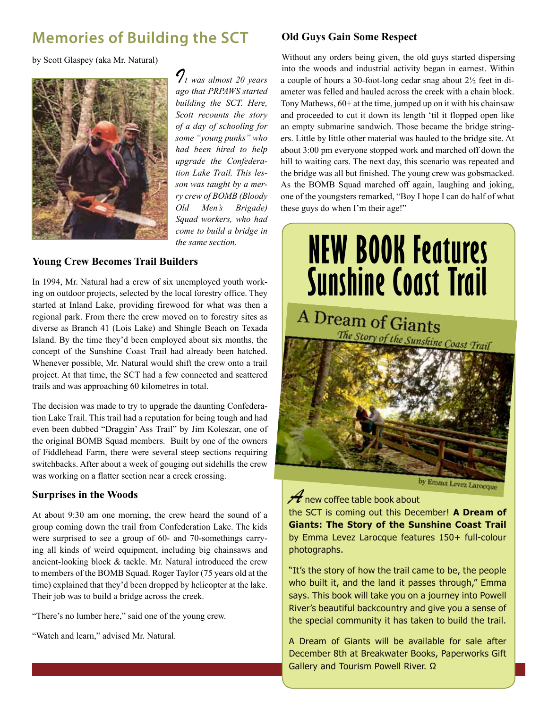# **Memories of Building the SCT**

by Scott Glaspey (aka Mr. Natural)



*It was almost 20 years ago that PRPAWS started building the SCT. Here, Scott recounts the story of a day of schooling for some "young punks" who had been hired to help upgrade the Confederation Lake Trail. This lesson was taught by a merry crew of BOMB (Bloody Old Men's Brigade) Squad workers, who had come to build a bridge in the same section.* 

### **Young Crew Becomes Trail Builders**

In 1994, Mr. Natural had a crew of six unemployed youth working on outdoor projects, selected by the local forestry office. They started at Inland Lake, providing firewood for what was then a regional park. From there the crew moved on to forestry sites as diverse as Branch 41 (Lois Lake) and Shingle Beach on Texada Island. By the time they'd been employed about six months, the concept of the Sunshine Coast Trail had already been hatched. Whenever possible, Mr. Natural would shift the crew onto a trail project. At that time, the SCT had a few connected and scattered trails and was approaching 60 kilometres in total.

The decision was made to try to upgrade the daunting Confederation Lake Trail. This trail had a reputation for being tough and had even been dubbed "Draggin' Ass Trail" by Jim Koleszar, one of the original BOMB Squad members. Built by one of the owners of Fiddlehead Farm, there were several steep sections requiring switchbacks. After about a week of gouging out sidehills the crew was working on a flatter section near a creek crossing.

### **Surprises in the Woods**

At about 9:30 am one morning, the crew heard the sound of a group coming down the trail from Confederation Lake. The kids were surprised to see a group of 60- and 70-somethings carrying all kinds of weird equipment, including big chainsaws and ancient-looking block & tackle. Mr. Natural introduced the crew to members of the BOMB Squad. Roger Taylor (75 years old at the time) explained that they'd been dropped by helicopter at the lake. Their job was to build a bridge across the creek.

"There's no lumber here," said one of the young crew.

"Watch and learn," advised Mr. Natural.

### **Old Guys Gain Some Respect**

Without any orders being given, the old guys started dispersing into the woods and industrial activity began in earnest. Within a couple of hours a 30-foot-long cedar snag about 2½ feet in diameter was felled and hauled across the creek with a chain block. Tony Mathews, 60+ at the time, jumped up on it with his chainsaw and proceeded to cut it down its length 'til it flopped open like an empty submarine sandwich. Those became the bridge stringers. Little by little other material was hauled to the bridge site. At about 3:00 pm everyone stopped work and marched off down the hill to waiting cars. The next day, this scenario was repeated and the bridge was all but finished. The young crew was gobsmacked. As the BOMB Squad marched off again, laughing and joking, one of the youngsters remarked, "Boy I hope I can do half of what these guys do when I'm their age!"



# *A* new coffee table book about

the SCT is coming out this December! **A Dream of Giants: The Story of the Sunshine Coast Trail**  by Emma Levez Larocque features 150+ full-colour photographs.

"It's the story of how the trail came to be, the people who built it, and the land it passes through," Emma says. This book will take you on a journey into Powell River's beautiful backcountry and give you a sense of the special community it has taken to build the trail.

A Dream of Giants will be available for sale after December 8th at Breakwater Books, Paperworks Gift Gallery and Tourism Powell River. Ω